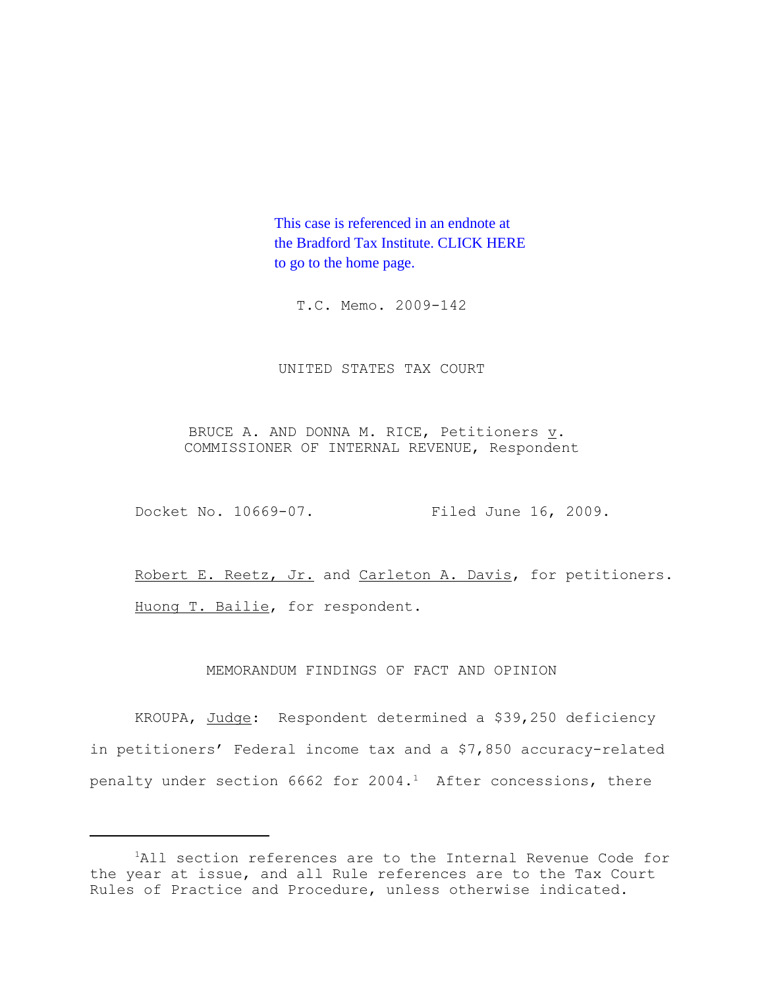This case is referenced in an endnote at [the Bradford Tax Institute. CLICK HERE](http://www.bradfordtaxinstitute.com/)  to go to the home page.

T.C. Memo. 2009-142

UNITED STATES TAX COURT

BRUCE A. AND DONNA M. RICE, Petitioners  $\underline{v}$ . COMMISSIONER OF INTERNAL REVENUE, Respondent

Docket No. 10669-07. Filed June 16, 2009.

Robert E. Reetz, Jr. and Carleton A. Davis, for petitioners. Huong T. Bailie, for respondent.

MEMORANDUM FINDINGS OF FACT AND OPINION

KROUPA, Judge: Respondent determined a \$39,250 deficiency in petitioners' Federal income tax and a \$7,850 accuracy-related penalty under section 6662 for  $2004.<sup>1</sup>$  After concessions, there

<sup>&</sup>lt;sup>1</sup>All section references are to the Internal Revenue Code for the year at issue, and all Rule references are to the Tax Court Rules of Practice and Procedure, unless otherwise indicated.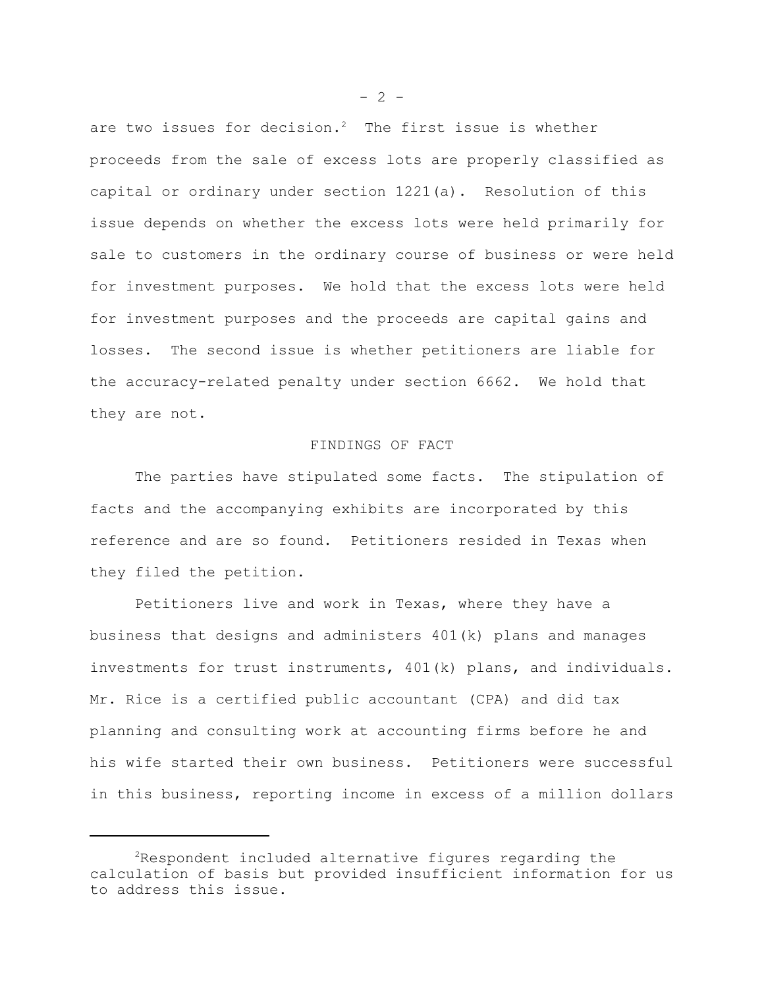are two issues for decision.<sup>2</sup> The first issue is whether proceeds from the sale of excess lots are properly classified as capital or ordinary under section 1221(a). Resolution of this issue depends on whether the excess lots were held primarily for sale to customers in the ordinary course of business or were held for investment purposes. We hold that the excess lots were held for investment purposes and the proceeds are capital gains and losses. The second issue is whether petitioners are liable for the accuracy-related penalty under section 6662. We hold that they are not.

# FINDINGS OF FACT

The parties have stipulated some facts. The stipulation of facts and the accompanying exhibits are incorporated by this reference and are so found. Petitioners resided in Texas when they filed the petition.

Petitioners live and work in Texas, where they have a business that designs and administers 401(k) plans and manages investments for trust instruments, 401(k) plans, and individuals. Mr. Rice is a certified public accountant (CPA) and did tax planning and consulting work at accounting firms before he and his wife started their own business. Petitioners were successful in this business, reporting income in excess of a million dollars

 $- 2 -$ 

 $2R$ espondent included alternative figures regarding the calculation of basis but provided insufficient information for us to address this issue.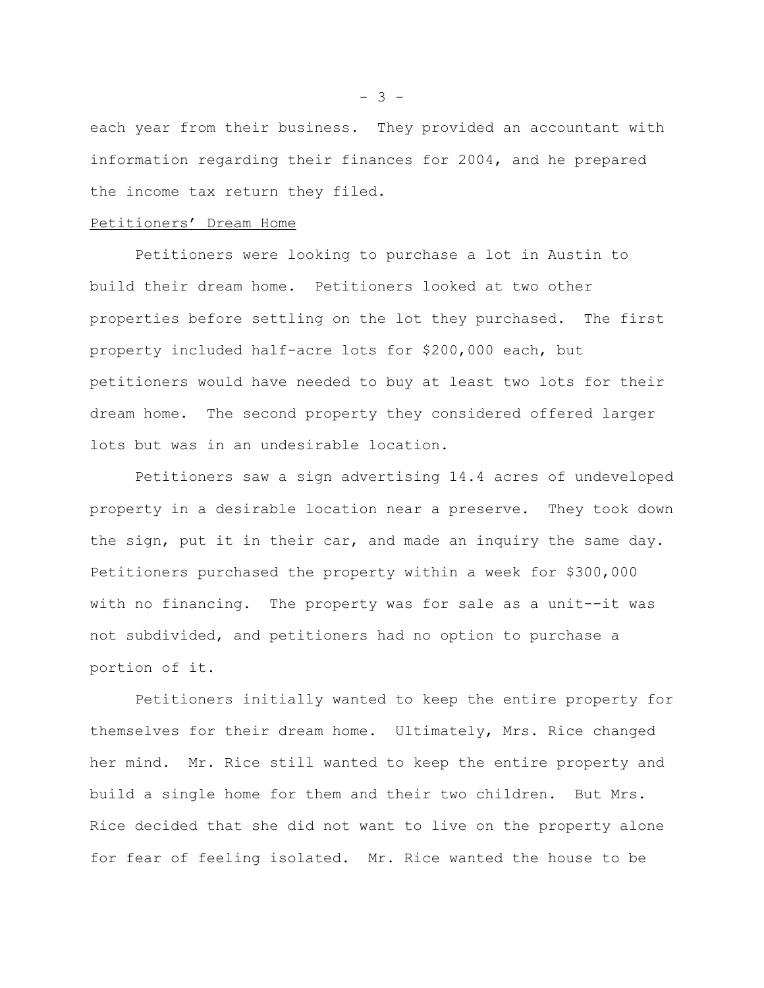each year from their business. They provided an accountant with information regarding their finances for 2004, and he prepared the income tax return they filed.

### Petitioners' Dream Home

Petitioners were looking to purchase a lot in Austin to build their dream home. Petitioners looked at two other properties before settling on the lot they purchased. The first property included half-acre lots for \$200,000 each, but petitioners would have needed to buy at least two lots for their dream home. The second property they considered offered larger lots but was in an undesirable location.

Petitioners saw a sign advertising 14.4 acres of undeveloped property in a desirable location near a preserve. They took down the sign, put it in their car, and made an inquiry the same day. Petitioners purchased the property within a week for \$300,000 with no financing. The property was for sale as a unit--it was not subdivided, and petitioners had no option to purchase a portion of it.

Petitioners initially wanted to keep the entire property for themselves for their dream home. Ultimately, Mrs. Rice changed her mind. Mr. Rice still wanted to keep the entire property and build a single home for them and their two children. But Mrs. Rice decided that she did not want to live on the property alone for fear of feeling isolated. Mr. Rice wanted the house to be

 $- 3 -$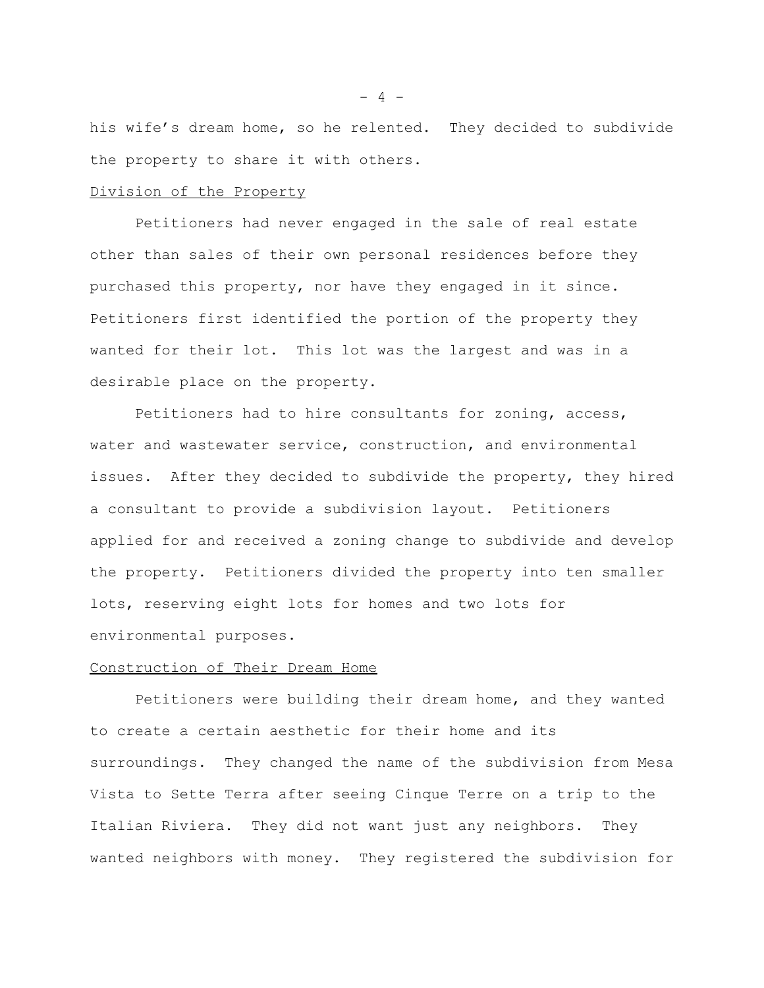his wife's dream home, so he relented. They decided to subdivide the property to share it with others.

#### Division of the Property

Petitioners had never engaged in the sale of real estate other than sales of their own personal residences before they purchased this property, nor have they engaged in it since. Petitioners first identified the portion of the property they wanted for their lot. This lot was the largest and was in a desirable place on the property.

Petitioners had to hire consultants for zoning, access, water and wastewater service, construction, and environmental issues. After they decided to subdivide the property, they hired a consultant to provide a subdivision layout. Petitioners applied for and received a zoning change to subdivide and develop the property. Petitioners divided the property into ten smaller lots, reserving eight lots for homes and two lots for environmental purposes.

# Construction of Their Dream Home

Petitioners were building their dream home, and they wanted to create a certain aesthetic for their home and its surroundings. They changed the name of the subdivision from Mesa Vista to Sette Terra after seeing Cinque Terre on a trip to the Italian Riviera. They did not want just any neighbors. They wanted neighbors with money. They registered the subdivision for

 $- 4 -$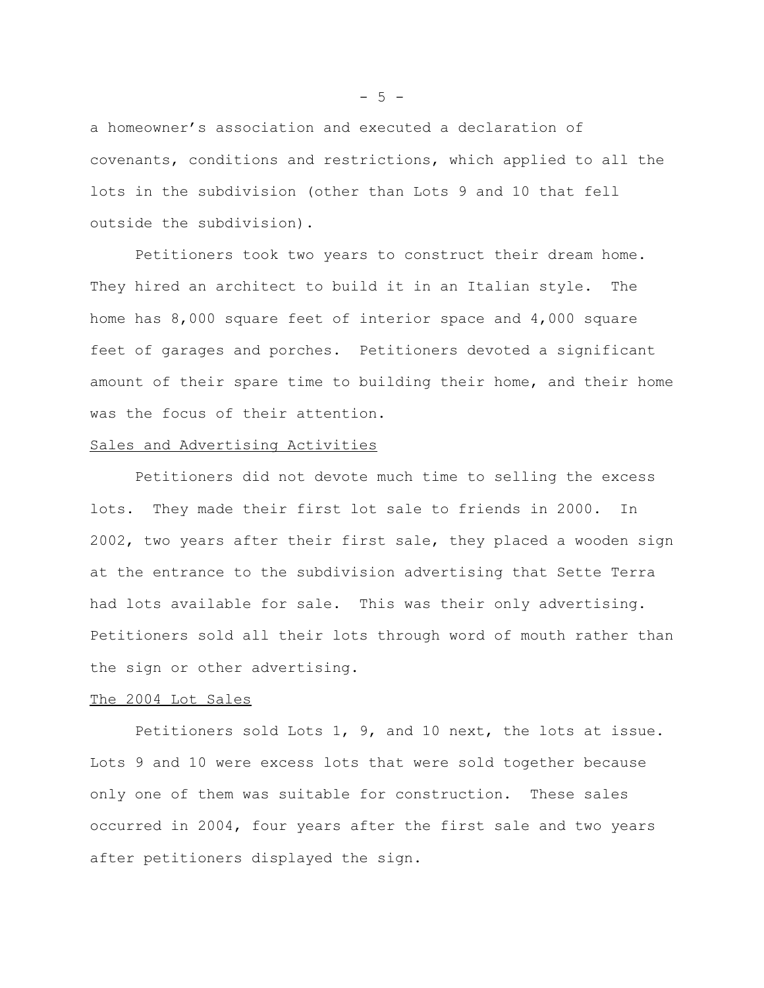a homeowner's association and executed a declaration of covenants, conditions and restrictions, which applied to all the lots in the subdivision (other than Lots 9 and 10 that fell outside the subdivision).

Petitioners took two years to construct their dream home. They hired an architect to build it in an Italian style. The home has 8,000 square feet of interior space and 4,000 square feet of garages and porches. Petitioners devoted a significant amount of their spare time to building their home, and their home was the focus of their attention.

# Sales and Advertising Activities

Petitioners did not devote much time to selling the excess lots. They made their first lot sale to friends in 2000. In 2002, two years after their first sale, they placed a wooden sign at the entrance to the subdivision advertising that Sette Terra had lots available for sale. This was their only advertising. Petitioners sold all their lots through word of mouth rather than the sign or other advertising.

#### The 2004 Lot Sales

Petitioners sold Lots 1, 9, and 10 next, the lots at issue. Lots 9 and 10 were excess lots that were sold together because only one of them was suitable for construction. These sales occurred in 2004, four years after the first sale and two years after petitioners displayed the sign.

 $-5 -$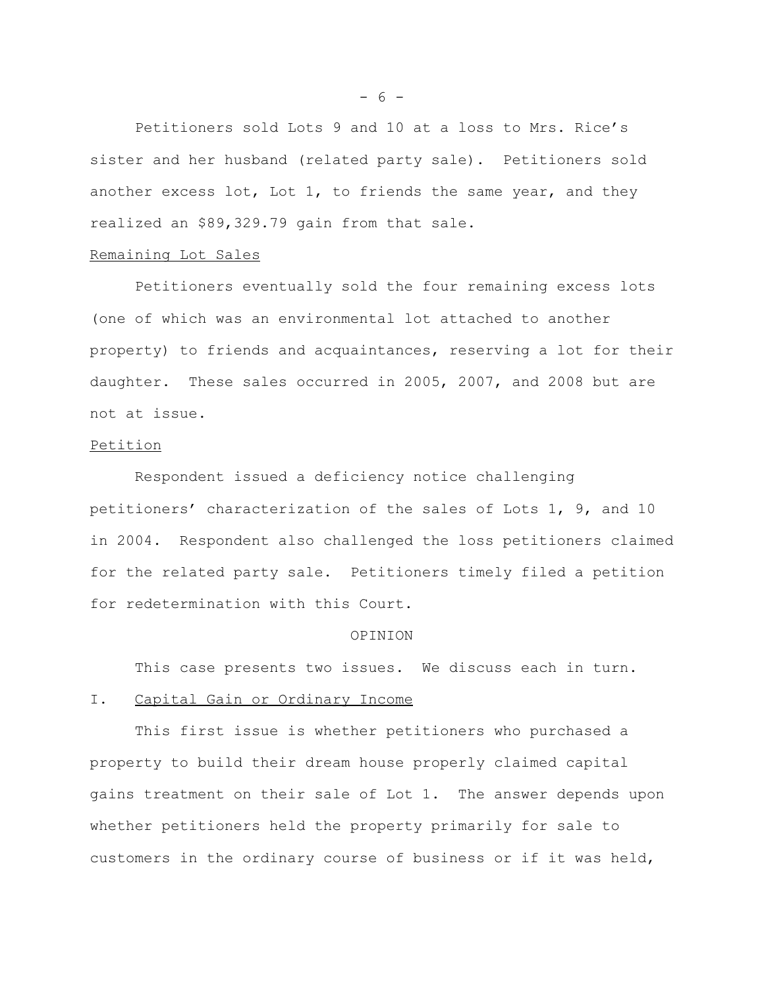Petitioners sold Lots 9 and 10 at a loss to Mrs. Rice's sister and her husband (related party sale). Petitioners sold another excess lot, Lot 1, to friends the same year, and they realized an \$89,329.79 gain from that sale.

#### Remaining Lot Sales

Petitioners eventually sold the four remaining excess lots (one of which was an environmental lot attached to another property) to friends and acquaintances, reserving a lot for their daughter. These sales occurred in 2005, 2007, and 2008 but are not at issue.

# Petition

Respondent issued a deficiency notice challenging petitioners' characterization of the sales of Lots 1, 9, and 10 in 2004. Respondent also challenged the loss petitioners claimed for the related party sale. Petitioners timely filed a petition for redetermination with this Court.

#### OPINION

This case presents two issues. We discuss each in turn.

# I. Capital Gain or Ordinary Income

This first issue is whether petitioners who purchased a property to build their dream house properly claimed capital gains treatment on their sale of Lot 1. The answer depends upon whether petitioners held the property primarily for sale to customers in the ordinary course of business or if it was held,

 $- 6 -$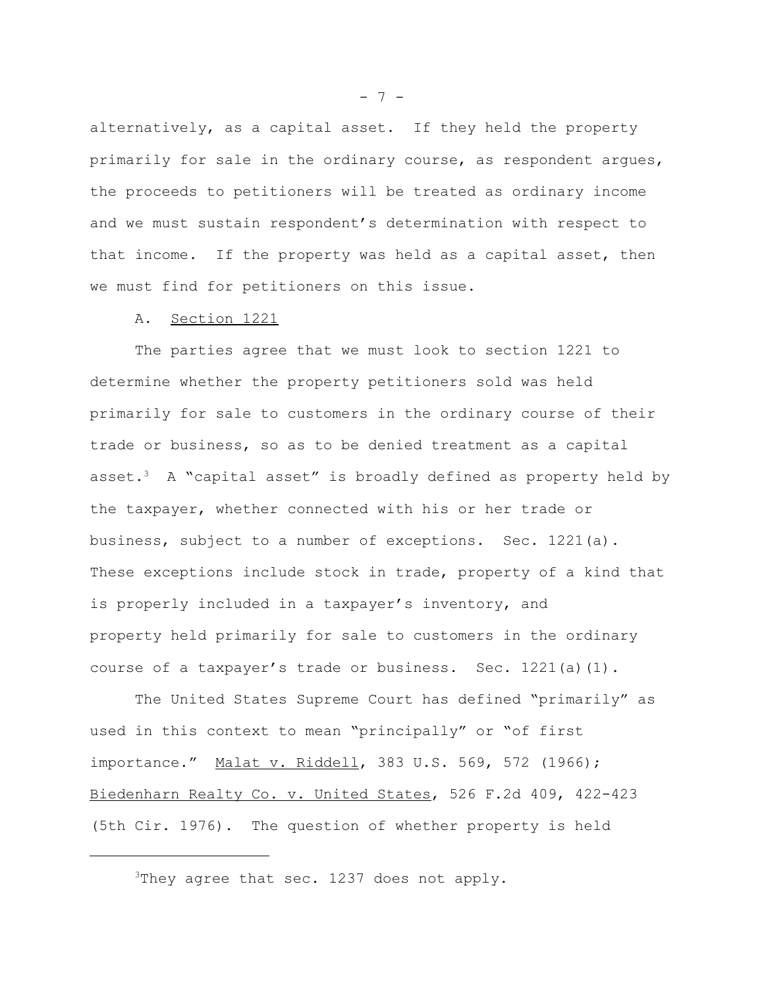alternatively, as a capital asset. If they held the property primarily for sale in the ordinary course, as respondent argues, the proceeds to petitioners will be treated as ordinary income and we must sustain respondent's determination with respect to that income. If the property was held as a capital asset, then we must find for petitioners on this issue.

#### A. Section 1221

The parties agree that we must look to section 1221 to determine whether the property petitioners sold was held primarily for sale to customers in the ordinary course of their trade or business, so as to be denied treatment as a capital asset.3 A "capital asset" is broadly defined as property held by the taxpayer, whether connected with his or her trade or business, subject to a number of exceptions. Sec. 1221(a). These exceptions include stock in trade, property of a kind that is properly included in a taxpayer's inventory, and property held primarily for sale to customers in the ordinary course of a taxpayer's trade or business. Sec. 1221(a)(1).

The United States Supreme Court has defined "primarily" as used in this context to mean "principally" or "of first importance." Malat v. Riddell, 383 U.S. 569, 572 (1966); Biedenharn Realty Co. v. United States, 526 F.2d 409, 422-423 (5th Cir. 1976). The question of whether property is held

 $- 7 -$ 

<sup>&</sup>lt;sup>3</sup>They agree that sec. 1237 does not apply.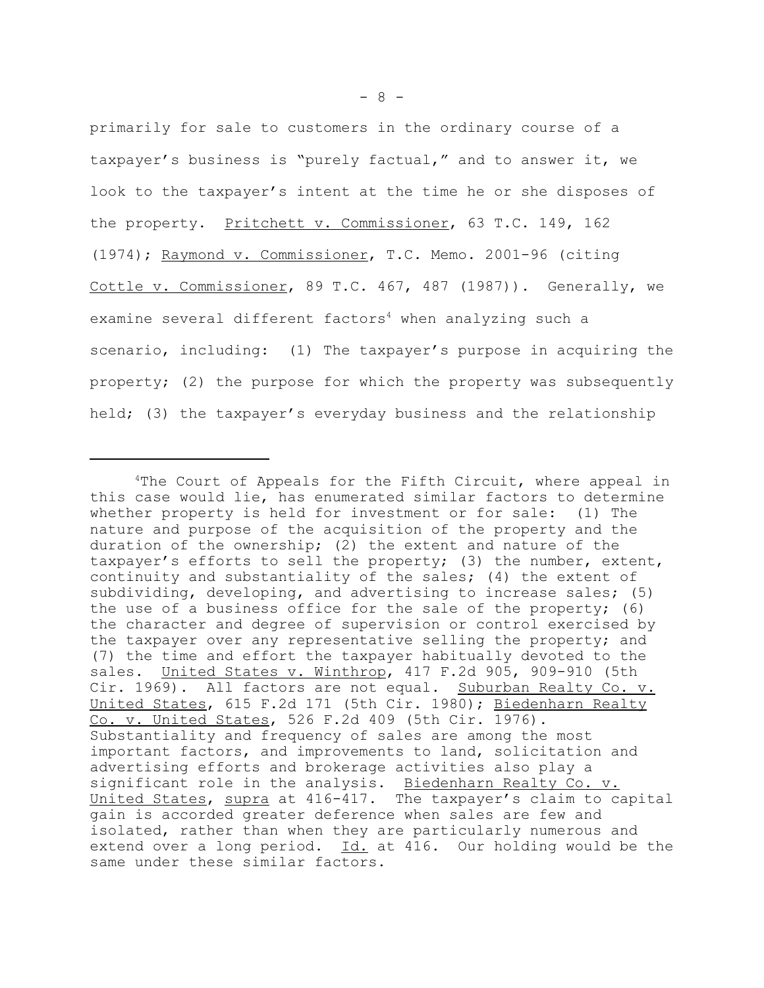primarily for sale to customers in the ordinary course of a taxpayer's business is "purely factual," and to answer it, we look to the taxpayer's intent at the time he or she disposes of the property. Pritchett v. Commissioner, 63 T.C. 149, 162 (1974); Raymond v. Commissioner, T.C. Memo. 2001-96 (citing Cottle v. Commissioner, 89 T.C. 467, 487 (1987)). Generally, we examine several different factors<sup>4</sup> when analyzing such a scenario, including: (1) The taxpayer's purpose in acquiring the property; (2) the purpose for which the property was subsequently held; (3) the taxpayer's everyday business and the relationship

<sup>4</sup>The Court of Appeals for the Fifth Circuit, where appeal in this case would lie, has enumerated similar factors to determine whether property is held for investment or for sale: (1) The nature and purpose of the acquisition of the property and the duration of the ownership; (2) the extent and nature of the taxpayer's efforts to sell the property; (3) the number, extent, continuity and substantiality of the sales; (4) the extent of subdividing, developing, and advertising to increase sales; (5) the use of a business office for the sale of the property; (6) the character and degree of supervision or control exercised by the taxpayer over any representative selling the property; and (7) the time and effort the taxpayer habitually devoted to the sales. United States v. Winthrop, 417 F.2d 905, 909-910 (5th Cir. 1969). All factors are not equal. Suburban Realty Co. v. United States, 615 F.2d 171 (5th Cir. 1980); Biedenharn Realty Co. v. United States, 526 F.2d 409 (5th Cir. 1976). Substantiality and frequency of sales are among the most important factors, and improvements to land, solicitation and advertising efforts and brokerage activities also play a significant role in the analysis. Biedenharn Realty Co. v. United States, supra at 416-417. The taxpayer's claim to capital gain is accorded greater deference when sales are few and isolated, rather than when they are particularly numerous and extend over a long period. Id. at 416. Our holding would be the same under these similar factors.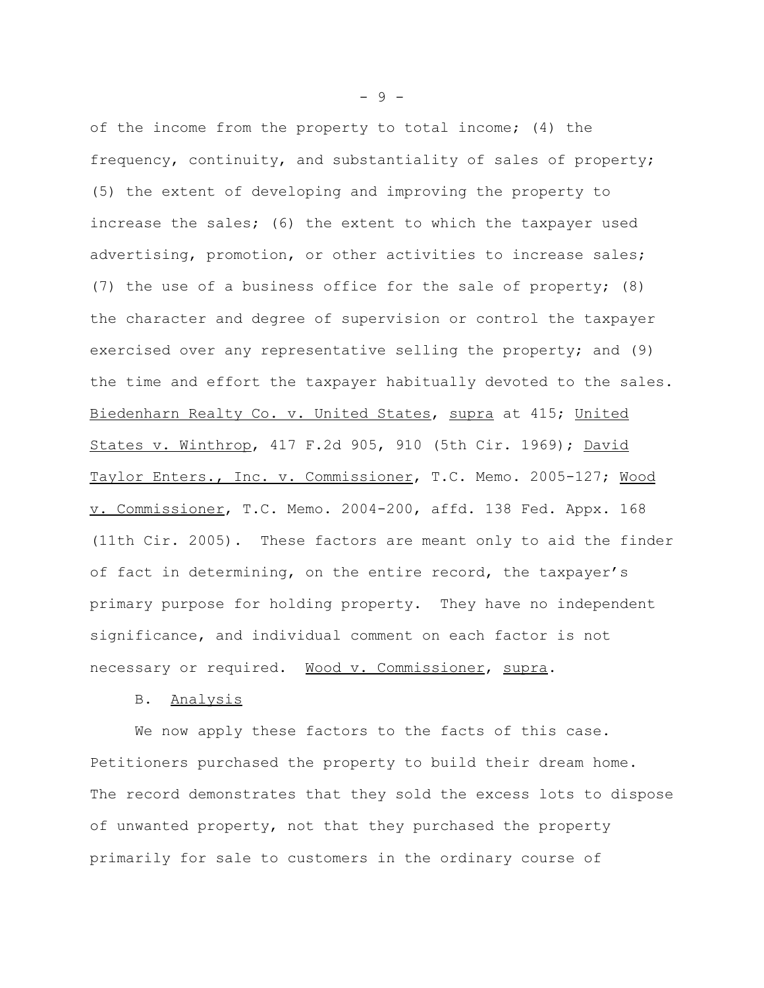of the income from the property to total income; (4) the frequency, continuity, and substantiality of sales of property; (5) the extent of developing and improving the property to increase the sales; (6) the extent to which the taxpayer used advertising, promotion, or other activities to increase sales; (7) the use of a business office for the sale of property; (8) the character and degree of supervision or control the taxpayer exercised over any representative selling the property; and (9) the time and effort the taxpayer habitually devoted to the sales. Biedenharn Realty Co. v. United States, supra at 415; United States v. Winthrop, 417 F.2d 905, 910 (5th Cir. 1969); David Taylor Enters., Inc. v. Commissioner, T.C. Memo. 2005-127; Wood v. Commissioner, T.C. Memo. 2004-200, affd. 138 Fed. Appx. 168 (11th Cir. 2005). These factors are meant only to aid the finder of fact in determining, on the entire record, the taxpayer's primary purpose for holding property. They have no independent significance, and individual comment on each factor is not necessary or required. Wood v. Commissioner, supra.

#### B. Analysis

We now apply these factors to the facts of this case. Petitioners purchased the property to build their dream home. The record demonstrates that they sold the excess lots to dispose of unwanted property, not that they purchased the property primarily for sale to customers in the ordinary course of

- 9 -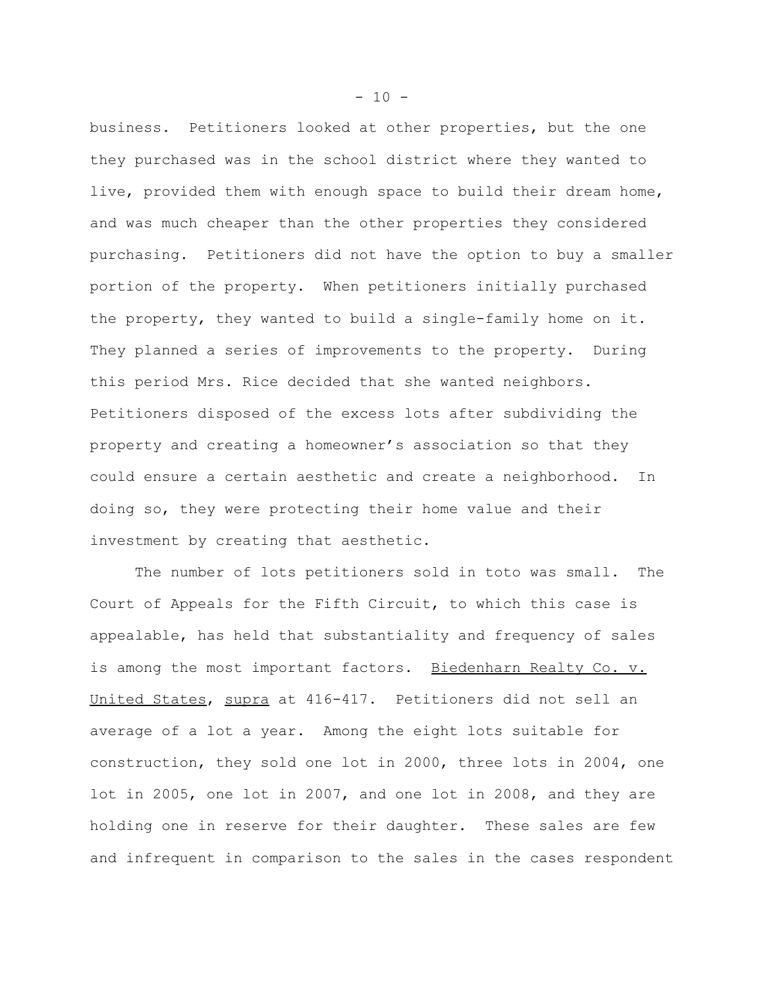business. Petitioners looked at other properties, but the one they purchased was in the school district where they wanted to live, provided them with enough space to build their dream home, and was much cheaper than the other properties they considered purchasing. Petitioners did not have the option to buy a smaller portion of the property. When petitioners initially purchased the property, they wanted to build a single-family home on it. They planned a series of improvements to the property. During this period Mrs. Rice decided that she wanted neighbors. Petitioners disposed of the excess lots after subdividing the property and creating a homeowner's association so that they could ensure a certain aesthetic and create a neighborhood. In doing so, they were protecting their home value and their investment by creating that aesthetic.

The number of lots petitioners sold in toto was small. The Court of Appeals for the Fifth Circuit, to which this case is appealable, has held that substantiality and frequency of sales is among the most important factors. Biedenharn Realty Co. v. United States, supra at 416-417. Petitioners did not sell an average of a lot a year. Among the eight lots suitable for construction, they sold one lot in 2000, three lots in 2004, one lot in 2005, one lot in 2007, and one lot in 2008, and they are holding one in reserve for their daughter. These sales are few and infrequent in comparison to the sales in the cases respondent

 $- 10 -$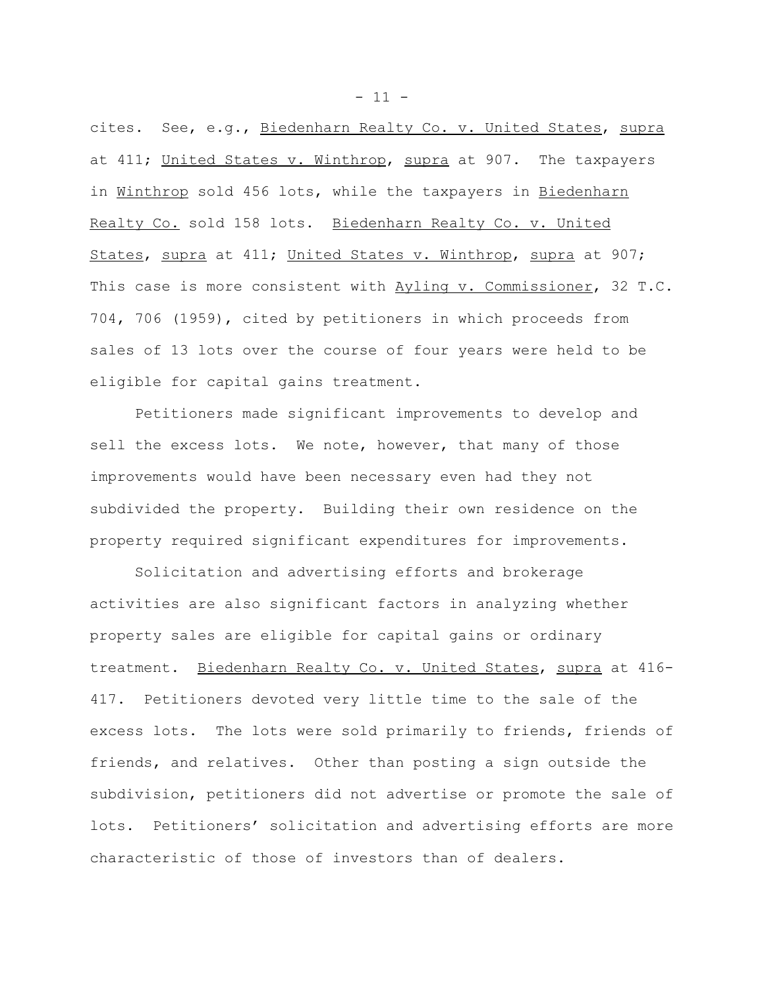cites. See, e.g., Biedenharn Realty Co. v. United States, supra at 411; United States v. Winthrop, supra at 907. The taxpayers in Winthrop sold 456 lots, while the taxpayers in Biedenharn Realty Co. sold 158 lots. Biedenharn Realty Co. v. United States, supra at 411; United States v. Winthrop, supra at 907; This case is more consistent with Ayling v. Commissioner, 32 T.C. 704, 706 (1959), cited by petitioners in which proceeds from sales of 13 lots over the course of four years were held to be eligible for capital gains treatment.

Petitioners made significant improvements to develop and sell the excess lots. We note, however, that many of those improvements would have been necessary even had they not subdivided the property. Building their own residence on the property required significant expenditures for improvements.

Solicitation and advertising efforts and brokerage activities are also significant factors in analyzing whether property sales are eligible for capital gains or ordinary treatment. Biedenharn Realty Co. v. United States, supra at 416- 417. Petitioners devoted very little time to the sale of the excess lots. The lots were sold primarily to friends, friends of friends, and relatives. Other than posting a sign outside the subdivision, petitioners did not advertise or promote the sale of lots. Petitioners' solicitation and advertising efforts are more characteristic of those of investors than of dealers.

 $- 11 -$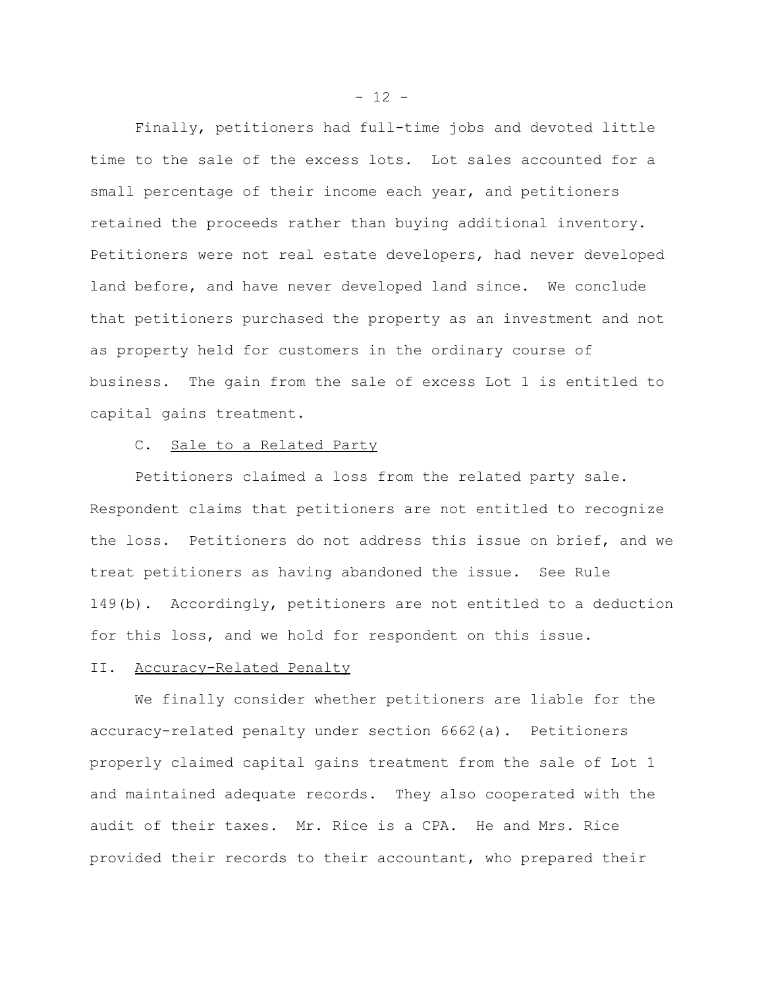Finally, petitioners had full-time jobs and devoted little time to the sale of the excess lots. Lot sales accounted for a small percentage of their income each year, and petitioners retained the proceeds rather than buying additional inventory. Petitioners were not real estate developers, had never developed land before, and have never developed land since. We conclude that petitioners purchased the property as an investment and not as property held for customers in the ordinary course of business. The gain from the sale of excess Lot 1 is entitled to capital gains treatment.

# C. Sale to a Related Party

Petitioners claimed a loss from the related party sale. Respondent claims that petitioners are not entitled to recognize the loss. Petitioners do not address this issue on brief, and we treat petitioners as having abandoned the issue. See Rule 149(b). Accordingly, petitioners are not entitled to a deduction for this loss, and we hold for respondent on this issue.

#### II. Accuracy-Related Penalty

We finally consider whether petitioners are liable for the accuracy-related penalty under section 6662(a). Petitioners properly claimed capital gains treatment from the sale of Lot 1 and maintained adequate records. They also cooperated with the audit of their taxes. Mr. Rice is a CPA. He and Mrs. Rice provided their records to their accountant, who prepared their

 $- 12 -$